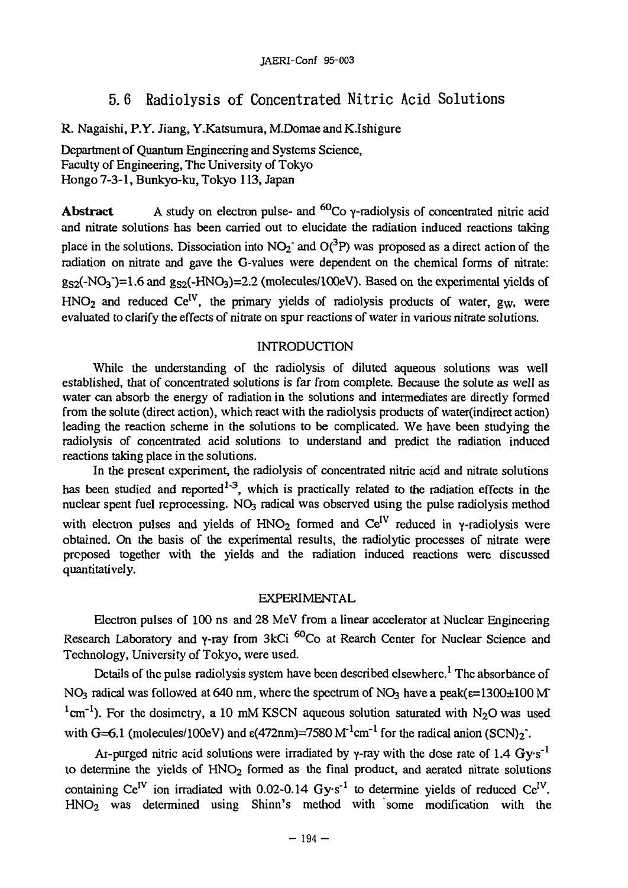# **5. 6 Radiolysis of Concentrated Nitric Acid Solutions**

R. Nagaishi, P.Y. Jiang, Y.Katsumura, M.Domae and K.Ishigure

Department of Quantum Engineering and Systems Science, Faculty of Engineering, The University of Tokyo Hongo 7-3-1, Bunkyo-ku, Tokyo 113, Japan

Abstract A study on electron pulse- and <sup>60</sup>Co γ-radiolysis of concentrated nitric acid and nitrate solutions has been carried out to elucidate the radiation induced reactions taking place in the solutions. Dissociation into  $NO_2$  and  $O(^3P)$  was proposed as a direct action of the radiation on nitrate and gave the G-values were dependent on the chemical forms of nitrate:  $g_{S2}$ (-NO<sub>3</sub>)=1.6 and  $g_{S2}$ (-HNO<sub>3</sub>)=2.2 (molecules/100eV). Based on the experimental yields of  $HNO<sub>2</sub>$  and reduced  $Ce<sup>IV</sup>$ , the primary yields of radiolysis products of water, g<sub>W</sub>, were evaluated to clarify the effects of nitrate on spur reactions of water in various nitrate solutions.

# INTRODUCTION

While the understanding of the radiolysis of diluted aqueous solutions was well established, that of concentrated solutions is far from complete. Because the solute as well as water can absorb the energy of radiation in the solutions and intermediates are directly formed from the solute (direct action), which react with the radiolysis products of water(indirect action) leading the reaction scheme in the solutions to be complicated. We have been studying the radiolysis of concentrated acid solutions to understand and predict the radiation induced reactions taking place in the solutions.

In the present experiment, the radiolysis of concentrated nitric acid and nitrate solutions has been studied and reported<sup>1-3</sup>, which is practically related to the radiation effects in the nuclear spent fuel reprocessing. NO<sub>3</sub> radical was observed using the pulse radiolysis method with electron pulses and yields of  $HNO<sub>2</sub>$  formed and  $Ce<sup>IV</sup>$  reduced in y-radiolysis were obtained. On the basis of the experimental results, the radiolytic processes of nitrate were proposed together with the yields and the radiation induced reactions were discussed quantitatively.

# EXPERIMENTAL

Electron pulses of 100 ns and 28 MeV from a linear accelerator at Nuclear Engineering Research Laboratory and γ-ray from 3kCi <sup>60</sup>Co at Rearch Center for Nuclear Science and Technology, University of Tokyo, were used.

Details of the pulse radiolysis system have been described elsewhere.<sup>1</sup> The absorbance of NO<sub>3</sub> radical was followed at 640 nm, where the spectrum of NO<sub>3</sub> have a peak( $\varepsilon$ =1300 $\pm$ 100 M <sup>1</sup>cm<sup>-1</sup>). For the dosimetry, a 10 mM KSCN aqueous solution saturated with N<sub>2</sub>O was used with G=6.1 (molecules/100eV) and  $\varepsilon$ (472nm)=7580 M<sup>-1</sup>cm<sup>-1</sup> for the radical anion (SCN)<sub>2</sub><sup>-</sup>.

Ar-purged nitric acid solutions were irradiated by  $\gamma$ -ray with the dose rate of 1.4 Gy·s<sup>-1</sup> to determine the yields of  $HNO<sub>2</sub>$  formed as the final product, and aerated nitrate solutions containing Ce<sup>IV</sup> ion irradiated with 0.02-0.14  $Gy·s^{-1}$  to determine yields of reduced Ce<sup>IV</sup>. HNO2 was determined using Shinn's method with some modification with the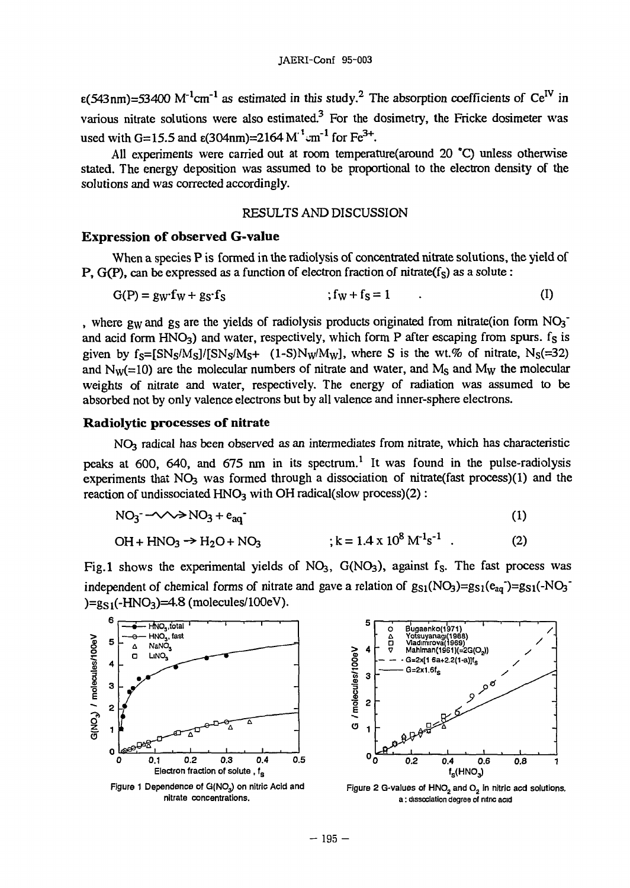$\epsilon$ (543nm)=53400 M<sup>-1</sup>cm<sup>-1</sup> as estimated in this study.<sup>2</sup> The absorption coefficients of Ce<sup>IV</sup> in various nitrate solutions were also estimated.<sup>3</sup> For the dosimetry, the Fricke dosimeter was used with G=15.5 and  $\varepsilon$ (304nm)=2164 M<sup>-1</sup> cm<sup>-1</sup> for Fe<sup>3+</sup>.

All experiments were carried out at room temperature(around 20 \*Q unless otherwise stated. The energy deposition was assumed to be proportional to the electron density of the solutions and was corrected accordingly.

#### RESULTS AND DISCUSSION

#### **Expression of observed G-value**

When a species P is formed in the radiolysis of concentrated nitrate solutions, the yield of P,  $G(P)$ , can be expressed as a function of electron fraction of nitrate( $f_S$ ) as a solute :

$$
G(P) = g_W f_W + g_S \cdot f_S \qquad ; f_W + f_S = 1 \qquad . \tag{I}
$$

, where gw and gs are the yields of radiolysis products originated from nitrate(ion form  $NO<sub>3</sub>$ and acid form  $HNO<sub>3</sub>$ ) and water, respectively, which form P after escaping from spurs.  $f<sub>S</sub>$  is given by  $f_s = [SN_s/M_s]/[SN_s/M_s + (1-S)N_w/M_w]$ , where S is the wt.% of nitrate,  $N_s (=32)$ and  $N_w(=10)$  are the molecular numbers of nitrate and water, and  $M_s$  and  $M_w$  the molecular weights of nitrate and water, respectively. The energy of radiation was assumed to be absorbed not by only valence electrons but by all valence and inner-sphere electrons.

#### **Radiolytic processes of nitrate**

NO3 radical has been observed as an intermediates from nitrate, which has characteristic peaks at 600, 640, and 675 nm in its spectrum.<sup>1</sup> It was found in the pulse-radiolysis experiments that  $NO<sub>3</sub>$  was formed through a dissociation of nitrate(fast process)(1) and the reaction of undissociated  $HNO<sub>3</sub>$  with OH radical(slow process)(2):

$$
NO_3^- \rightarrow \rightarrow NO_3 + e_{aq}^-
$$
 (1)

$$
OH + HNO3 \rightarrow H2O + NO3 \qquad ; k = 1.4 \times 108 M-1s-1 . \qquad (2)
$$

Fig.1 shows the experimental yields of  $NO<sub>3</sub>$ ,  $G(NO<sub>3</sub>)$ , against f<sub>S</sub>. The fast process was independent of chemical forms of nitrate and gave a relation of  $g_{S1}(NO<sub>3</sub>)=g_{S1}(e_{aq})=g_{S1}(-NO<sub>3</sub>)$  $)=g_{S1}(-HNO<sub>3</sub>)=4.8$  (molecules/100eV).



Figure 1 Dependence of  $G(NO<sub>3</sub>)$  on nitric Acid and nitrate concentrations.



Figure 2 G-values of  $HNO<sub>2</sub>$  and  $O<sub>2</sub>$  in nitric acd solutions. a: dissociation degree of nitnc acid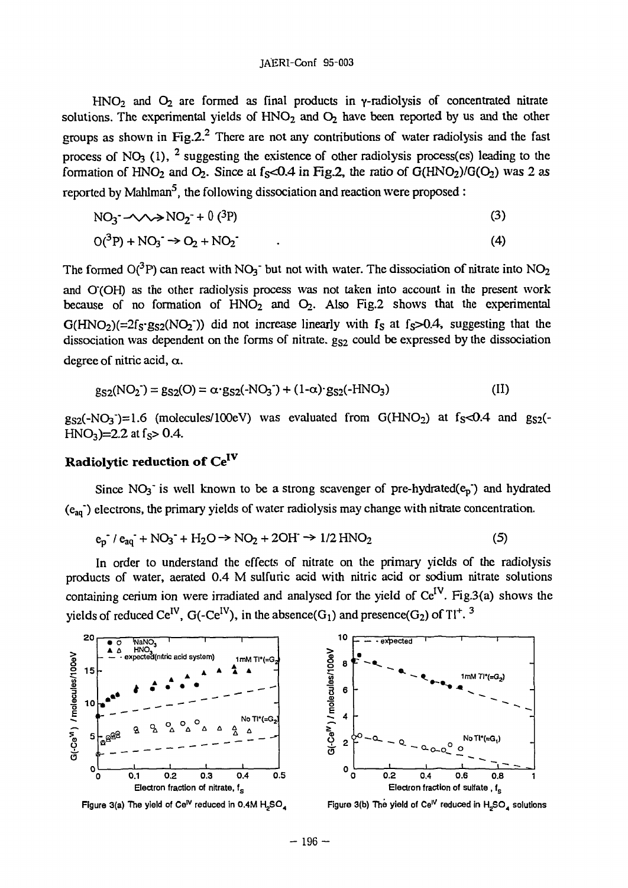HNO<sub>2</sub> and O<sub>2</sub> are formed as final products in  $\gamma$ -radiolysis of concentrated nitrate solutions. The experimental yields of  $HNO<sub>2</sub>$  and  $O<sub>2</sub>$  have been reported by us and the other groups as shown in Fig.2.<sup>2</sup> There are not any contributions of water radiolysis and the fast process of NO<sub>3</sub> (1), <sup>2</sup> suggesting the existence of other radiolysis process(es) leading to the formation of HNO<sub>2</sub> and O<sub>2</sub>. Since at  $f_S < 0.4$  in Fig.2, the ratio of  $G(HNO_2)/G(O_2)$  was 2 as reported by Mahlman<sup>5</sup>, the following dissociation and reaction were proposed :

$$
NO_3^- \to \sim \gg NO_2^- + 0(^3P)
$$
 (3)

$$
O(^{3}P) + NO_{3} \rightarrow O_{2} + NO_{2} \tag{4}
$$

The formed  $O(^3P)$  can react with NO<sub>3</sub><sup>-</sup> but not with water. The dissociation of nitrate into NO<sub>2</sub> and O'(OH) as the other radiolysis process was not taken into account in the present work because of no formation of  $HNO<sub>2</sub>$  and  $O<sub>2</sub>$ . Also Fig.2 shows that the experimental  $G(HNO<sub>2</sub>)(=2f<sub>S</sub>·g<sub>S2</sub>(NO<sub>2</sub>))$  did not increase linearly with f<sub>S</sub> at f<sub>S</sub>>0.4, suggesting that the dissociation was dependent on the forms of nitrate.  $g_{S2}$  could be expressed by the dissociation degree of nitric acid,  $\alpha$ .

$$
g_{S2}(NO_2^-) = g_{S2}(O) = \alpha \cdot g_{S2}(.NO_3^-) + (1-\alpha) \cdot g_{S2}(.HMO_3)
$$
 (II)

 $g_{S2}(-NO<sub>3</sub>)=1.6$  (molecules/100eV) was evaluated from G(HNO<sub>2</sub>) at f<sub>S</sub><0.4 and  $g_{S2}$ (- $HNO_3$ =2.2 at f<sub>s</sub>> 0.4.

# **Radiolytic reduction of** Ce<sup>1</sup>

Since  $NO_3$  is well known to be a strong scavenger of pre-hydrated( $e_p$ ) and hydrated  $(e_{aa})$  electrons, the primary yields of water radiolysis may change with nitrate concentration.

$$
e_p^{-}/e_{aq}^{-} + NO_3^{-} + H_2O \rightarrow NO_2 + 2OH \rightarrow 1/2 HNO_2
$$
 (5)

In order to understand the effects of nitrate on the primary yields of the radiolysis products of water, aerated 0.4 M sulfuric acid with nitric acid or sodium nitrate solutions containing cerium ion were irradiated and analysed for the yield of  $Ce^{IV}$ . Fig.3(a) shows the yields of reduced Ce<sup>IV</sup>, G(-Ce<sup>IV</sup>), in the absence(G<sub>1</sub>) and presence(G<sub>2</sub>) of T<sup>1+</sup>.<sup>3</sup>



**Figure 3(a) The yield of Ce, <sup>v</sup> reduced in 0.4M H <sup>2</sup> S 0 <sup>4</sup>**



**Figure 3(b) The yield of Ceiv reduced in H <sup>2</sup>S 0 <sup>4</sup> solutions**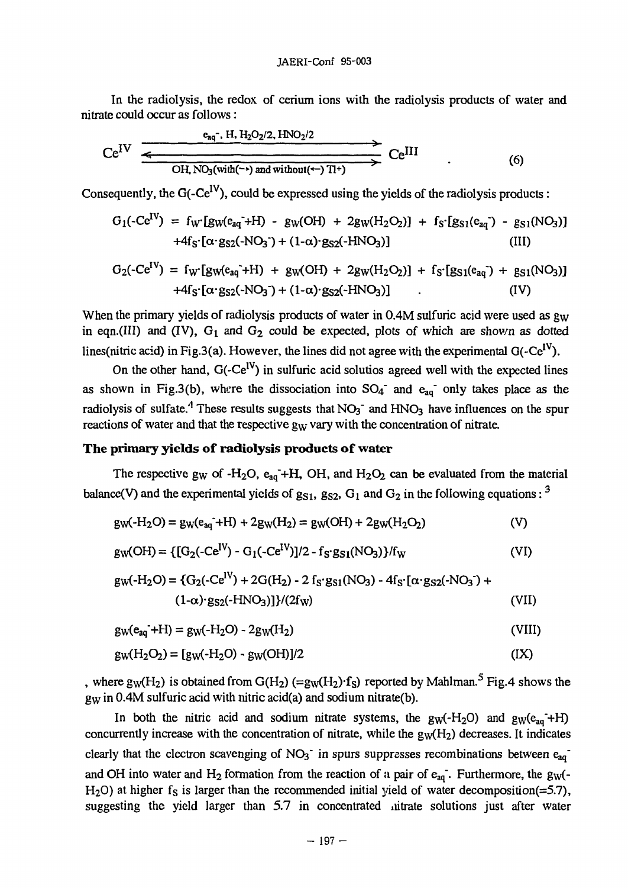In the radiolysis, the redox of cerium ions with the radiolysis products of water and nitrate could occur as follows:

$$
Ce^{IV} \xrightarrow{e_{aq^-} H, H_2O_2/2, HNO_2/2} Ce^{III} \longrightarrow Ce^{III}
$$
\n
$$
OH, NO_3(wih(\rightarrow) \text{ and without(\leftarrow) TI^+)} \longrightarrow Ce^{III}
$$
\n(6)

Consequently, the G(-CeIV), could be expressed using the yields of the radiolysis products:

$$
G_1(\text{-Ce}^{\text{IV}}) = f_W[g_W(e_{aq}^{\text{-}} + H) - g_W(OH) + 2g_W(H_2O_2)] + f_S'[g_{S1}(e_{aq}^{\text{-}}) - g_{S1}(NO_3)] + 4f_S'[a \cdot g_{S2}(\text{-NO}_3^{\text{-}}) + (1-a) \cdot g_{S2}(\text{-HNO}_3)] \tag{III}
$$

$$
G_2(\text{-Ce}^{IV}) = f_W[g_W(e_{aq}^{\text{-}}+H) + g_W(OH) + 2g_W(H_2O_2)] + f_S[g_S1(e_{aq}^{\text{-}}) + g_{S1}(NO_3)] + 4f_S [a \cdot g_{S2}(\text{-NO}_3^{\text{-}}) + (1-a) \cdot g_{S2}(\text{-HNO}_3)] \qquad (IV)
$$

When the primary yields of radiolysis products of water in 0.4M sulfuric acid were used as g<sub>w</sub> in eqn.(III) and (IV),  $G_1$  and  $G_2$  could be expected, plots of which are shown as dotted lines(nitric acid) in Fig.3(a). However, the lines did not agree with the experimental  $G(-Ce^{IV})$ .

On the other hand,  $G(-Ce^{IV})$  in sulfuric acid solutios agreed well with the expected lines as shown in Fig.3(b), where the dissociation into  $SO_4^-$  and  $e_{aq}^-$  only takes place as the radiolysis of sulfate.<sup>4</sup> These results suggests that NO<sub>3</sub><sup>-</sup> and HNO<sub>3</sub> have influences on the spur reactions of water and that the respective  $g_W$  vary with the concentration of nitrate.

### **The primary yields of radiolysis products of water**

The respective g<sub>W</sub> of -H<sub>2</sub>O,  $e_{aq}$ -+H, OH, and H<sub>2</sub>O<sub>2</sub> can be evaluated from the material balance(V) and the experimental yields of  $g_{S1}$ ,  $g_{S2}$ ,  $G_1$  and  $G_2$  in the following equations: <sup>3</sup>

$$
gw(-H_2O) = g_W(e_{aq}^- + H) + 2g_W(H_2) = g_W(OH) + 2g_W(H_2O_2)
$$
 (V)

$$
gw(OH) = \{ [G_2(-Ce^{IV}) - G_1(-Ce^{IV})]/2 - f_S \cdot g_{S1}(NO_3) \} / f_W
$$
 (VI)

$$
gw(-H_2O) = \{G_2(-Ce^{IV}) + 2G(H_2) - 2f_S \cdot g_{S1}(NO_3) - 4f_S \cdot [\alpha \cdot g_{S2}(-NO_3]) + (1-\alpha) \cdot g_{S2}(-HNO_3)]\}/(2f_W)
$$
\n(VII)

$$
gw(e_{aq}^- + H) = gw(-H_2O) - 2gw(H_2)
$$
 (VIII)

$$
gw(H_2O_2) = [gw(-H_2O) - gw(OH)]/2
$$
 (IX)

, where  $g_W(H_2)$  is obtained from  $G(H_2)$  (=g<sub>W</sub>(H<sub>2</sub>) $\cdot$ f<sub>S</sub>) reported by Mahlman.<sup>5</sup> Fig.4 shows the gw in 0.4M sulfuric acid with nitric acid(a) and sodium nitrate(b).

In both the nitric acid and sodium nitrate systems, the  $gw(-H_2O)$  and  $gw(e_{aq}+H)$ concurrently increase with the concentration of nitrate, while the  $g_W(H_2)$  decreases. It indicates clearly that the electron scavenging of  $NO<sub>3</sub>$  in spurs suppresses recombinations between  $e<sub>aa</sub>$ and OH into water and H<sub>2</sub> formation from the reaction of a pair of  $e_{aq}$ . Furthermore, the g<sub>W</sub>(-H<sub>2</sub>O) at higher  $f_s$  is larger than the recommended initial yield of water decomposition(=5.7), suggesting the yield larger than 5.7 in concentrated nitrate solutions just after water